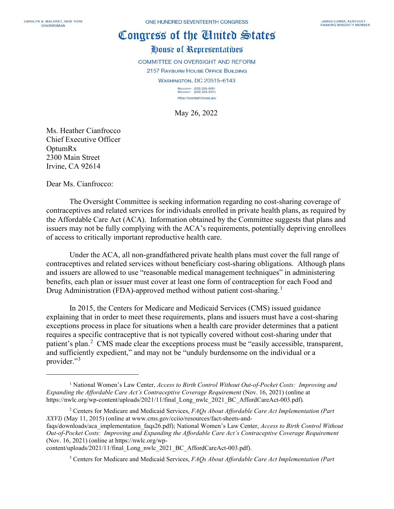## Congress of the Cinited States

## House of Representatives

COMMITTEE ON OVERSIGHT AND REFORM

2157 RAYBURN HOUSE OFFICE BUILDING

**WASHINGTON, DC 20515-6143** 

MAJORITY (202) 225-5051<br>MINORITY (202) 225-5074 https://oversight.house.gov

May 26, 2022

Ms. Heather Cianfrocco Chief Executive Officer OptumRx 2300 Main Street Irvine, CA 92614

Dear Ms. Cianfrocco:

The Oversight Committee is seeking information regarding no cost-sharing coverage of contraceptives and related services for individuals enrolled in private health plans, as required by the Affordable Care Act (ACA). Information obtained by the Committee suggests that plans and issuers may not be fully complying with the ACA's requirements, potentially depriving enrollees of access to critically important reproductive health care.

Under the ACA, all non-grandfathered private health plans must cover the full range of contraceptives and related services without beneficiary cost-sharing obligations. Although plans and issuers are allowed to use "reasonable medical management techniques" in administering benefits, each plan or issuer must cover at least one form of contraception for each Food and Drug Administration (FDA)-approved method without patient cost-sharing.<sup>[1](#page-0-0)</sup>

In 2015, the Centers for Medicare and Medicaid Services (CMS) issued guidance explaining that in order to meet these requirements, plans and issuers must have a cost-sharing exceptions process in place for situations when a health care provider determines that a patient requires a specific contraceptive that is not typically covered without cost-sharing under that patient's plan.<sup>[2](#page-0-1)</sup> CMS made clear the exceptions process must be "easily accessible, transparent, and sufficiently expedient," and may not be "unduly burdensome on the individual or a provider."<sup>[3](#page-0-2)</sup>

<span id="page-0-2"></span>content/uploads/2021/11/final\_Long\_nwlc\_2021\_BC\_AffordCareAct-003.pdf).

<sup>3</sup> Centers for Medicare and Medicaid Services, *FAQs About Affordable Care Act Implementation (Part* 

<span id="page-0-0"></span><sup>1</sup> National Women's Law Center, *Access to Birth Control Without Out-of-Pocket Costs: Improving and Expanding the Affordable Care Act's Contraceptive Coverage Requirement* (Nov. 16, 2021) (online at https://nwlc.org/wp-content/uploads/2021/11/final\_Long\_nwlc\_2021\_BC\_AffordCareAct-003.pdf)*.*

<span id="page-0-1"></span><sup>2</sup> Centers for Medicare and Medicaid Services, *FAQs About Affordable Care Act Implementation (Part XXVI)* (May 11, 2015) (online at www.cms.gov/cciio/resources/fact-sheets-and-

faqs/downloads/aca\_implementation\_faqs26.pdf); National Women's Law Center, *Access to Birth Control Without Out-of-Pocket Costs: Improving and Expanding the Affordable Care Act's Contraceptive Coverage Requirement* (Nov. 16, 2021) (online at https://nwlc.org/wp-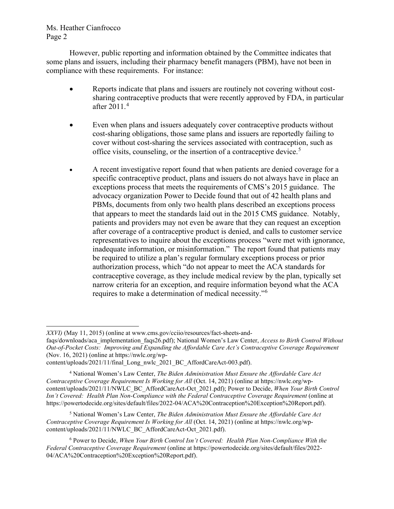## Ms. Heather Cianfrocco Page 2

However, public reporting and information obtained by the Committee indicates that some plans and issuers, including their pharmacy benefit managers (PBM), have not been in compliance with these requirements. For instance:

- Reports indicate that plans and issuers are routinely not covering without costsharing contraceptive products that were recently approved by FDA, in particular after 2011.[4](#page-1-0)
- Even when plans and issuers adequately cover contraceptive products without cost-sharing obligations, those same plans and issuers are reportedly failing to cover without cost-sharing the services associated with contraception, such as office visits, counseling, or the insertion of a contraceptive device.<sup>[5](#page-1-1)</sup>
- A recent investigative report found that when patients are denied coverage for a specific contraceptive product, plans and issuers do not always have in place an exceptions process that meets the requirements of CMS's 2015 guidance. The advocacy organization Power to Decide found that out of 42 health plans and PBMs, documents from only two health plans described an exceptions process that appears to meet the standards laid out in the 2015 CMS guidance. Notably, patients and providers may not even be aware that they can request an exception after coverage of a contraceptive product is denied, and calls to customer service representatives to inquire about the exceptions process "were met with ignorance, inadequate information, or misinformation." The report found that patients may be required to utilize a plan's regular formulary exceptions process or prior authorization process, which "do not appear to meet the ACA standards for contraceptive coverage, as they include medical review by the plan, typically set narrow criteria for an exception, and require information beyond what the ACA requires to make a determination of medical necessity."[6](#page-1-2)

<span id="page-1-1"></span><sup>5</sup> National Women's Law Center, *The Biden Administration Must Ensure the Affordable Care Act Contraceptive Coverage Requirement Is Working for All* (Oct. 14, 2021) (online at https://nwlc.org/wpcontent/uploads/2021/11/NWLC\_BC\_AffordCareAct-Oct\_2021.pdf).

*XXVI)* (May 11, 2015) (online at www.cms.gov/cciio/resources/fact-sheets-and-

faqs/downloads/aca\_implementation\_faqs26.pdf); National Women's Law Center, *Access to Birth Control Without Out-of-Pocket Costs: Improving and Expanding the Affordable Care Act's Contraceptive Coverage Requirement* (Nov. 16, 2021) (online at https://nwlc.org/wp-

content/uploads/2021/11/final\_Long\_nwlc\_2021\_BC\_AffordCareAct-003.pdf).

<span id="page-1-0"></span><sup>4</sup> National Women's Law Center, *The Biden Administration Must Ensure the Affordable Care Act Contraceptive Coverage Requirement Is Working for All* (Oct. 14, 2021) (online at https://nwlc.org/wpcontent/uploads/2021/11/NWLC\_BC\_AffordCareAct-Oct\_2021.pdf); Power to Decide, *When Your Birth Control Isn't Covered: Health Plan Non-Compliance with the Federal Contraceptive Coverage Requirement* (online at https://powertodecide.org/sites/default/files/2022-04/ACA%20Contraception%20Exception%20Report.pdf).

<span id="page-1-2"></span><sup>6</sup> Power to Decide, *When Your Birth Control Isn't Covered: Health Plan Non-Compliance With the Federal Contraceptive Coverage Requirement* (online at https://powertodecide.org/sites/default/files/2022- 04/ACA%20Contraception%20Exception%20Report.pdf).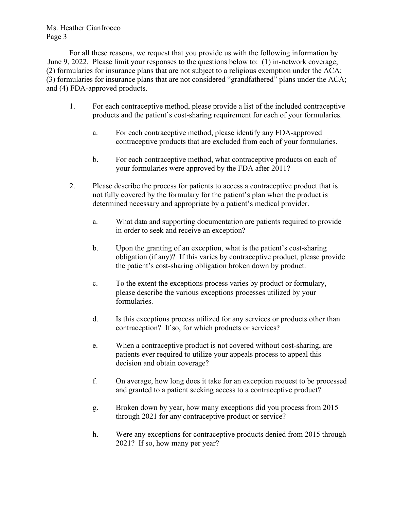Ms. Heather Cianfrocco Page 3

For all these reasons, we request that you provide us with the following information by June 9, 2022. Please limit your responses to the questions below to: (1) in-network coverage; (2) formularies for insurance plans that are not subject to a religious exemption under the ACA; (3) formularies for insurance plans that are not considered "grandfathered" plans under the ACA; and (4) FDA-approved products.

- 1. For each contraceptive method, please provide a list of the included contraceptive products and the patient's cost-sharing requirement for each of your formularies.
	- a. For each contraceptive method, please identify any FDA-approved contraceptive products that are excluded from each of your formularies.
	- b. For each contraceptive method, what contraceptive products on each of your formularies were approved by the FDA after 2011?
- 2. Please describe the process for patients to access a contraceptive product that is not fully covered by the formulary for the patient's plan when the product is determined necessary and appropriate by a patient's medical provider.
	- a. What data and supporting documentation are patients required to provide in order to seek and receive an exception?
	- b. Upon the granting of an exception, what is the patient's cost-sharing obligation (if any)? If this varies by contraceptive product, please provide the patient's cost-sharing obligation broken down by product.
	- c. To the extent the exceptions process varies by product or formulary, please describe the various exceptions processes utilized by your formularies.
	- d. Is this exceptions process utilized for any services or products other than contraception? If so, for which products or services?
	- e. When a contraceptive product is not covered without cost-sharing, are patients ever required to utilize your appeals process to appeal this decision and obtain coverage?
	- f. On average, how long does it take for an exception request to be processed and granted to a patient seeking access to a contraceptive product?
	- g. Broken down by year, how many exceptions did you process from 2015 through 2021 for any contraceptive product or service?
	- h. Were any exceptions for contraceptive products denied from 2015 through 2021? If so, how many per year?